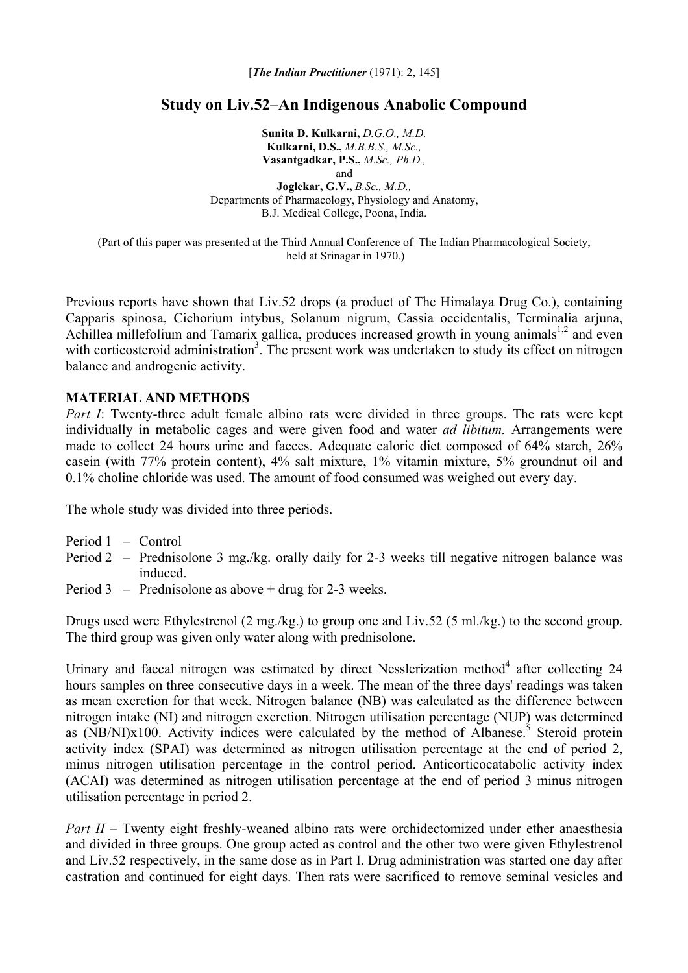[*The Indian Practitioner* (1971): 2, 145]

# **Study on Liv.52–An Indigenous Anabolic Compound**

**Sunita D. Kulkarni,** *D.G.O., M.D.*  **Kulkarni, D.S.,** *M.B.B.S., M.Sc.,*  **Vasantgadkar, P.S.,** *M.Sc., Ph.D.,*  and **Joglekar, G.V.,** *B.Sc., M.D.,*  Departments of Pharmacology, Physiology and Anatomy, B.J. Medical College, Poona, India.

(Part of this paper was presented at the Third Annual Conference of The Indian Pharmacological Society, held at Srinagar in 1970.)

Previous reports have shown that Liv.52 drops (a product of The Himalaya Drug Co.), containing Capparis spinosa, Cichorium intybus, Solanum nigrum, Cassia occidentalis, Terminalia arjuna, Achillea millefolium and Tamarix gallica, produces increased growth in young animals<sup>1,2</sup> and even with corticosteroid administration<sup>3</sup>. The present work was undertaken to study its effect on nitrogen balance and androgenic activity.

## **MATERIAL AND METHODS**

*Part I*: Twenty-three adult female albino rats were divided in three groups. The rats were kept individually in metabolic cages and were given food and water *ad libitum.* Arrangements were made to collect 24 hours urine and faeces. Adequate caloric diet composed of 64% starch, 26% casein (with 77% protein content), 4% salt mixture, 1% vitamin mixture, 5% groundnut oil and 0.1% choline chloride was used. The amount of food consumed was weighed out every day.

The whole study was divided into three periods.

- Period 1 Control
- Period 2 Prednisolone 3 mg./kg. orally daily for 2-3 weeks till negative nitrogen balance was induced.
- Period 3 Prednisolone as above  $+$  drug for 2-3 weeks.

Drugs used were Ethylestrenol (2 mg./kg.) to group one and Liv.52 (5 ml./kg.) to the second group. The third group was given only water along with prednisolone.

Urinary and faecal nitrogen was estimated by direct Nesslerization method $4$  after collecting 24 hours samples on three consecutive days in a week. The mean of the three days' readings was taken as mean excretion for that week. Nitrogen balance (NB) was calculated as the difference between nitrogen intake (NI) and nitrogen excretion. Nitrogen utilisation percentage (NUP) was determined as  $(NB/NI)x100$ . Activity indices were calculated by the method of Albanese.<sup>5</sup> Steroid protein activity index (SPAI) was determined as nitrogen utilisation percentage at the end of period 2, minus nitrogen utilisation percentage in the control period. Anticorticocatabolic activity index (ACAI) was determined as nitrogen utilisation percentage at the end of period 3 minus nitrogen utilisation percentage in period 2.

*Part II* – Twenty eight freshly-weaned albino rats were orchidectomized under ether anaesthesia and divided in three groups. One group acted as control and the other two were given Ethylestrenol and Liv.52 respectively, in the same dose as in Part I. Drug administration was started one day after castration and continued for eight days. Then rats were sacrificed to remove seminal vesicles and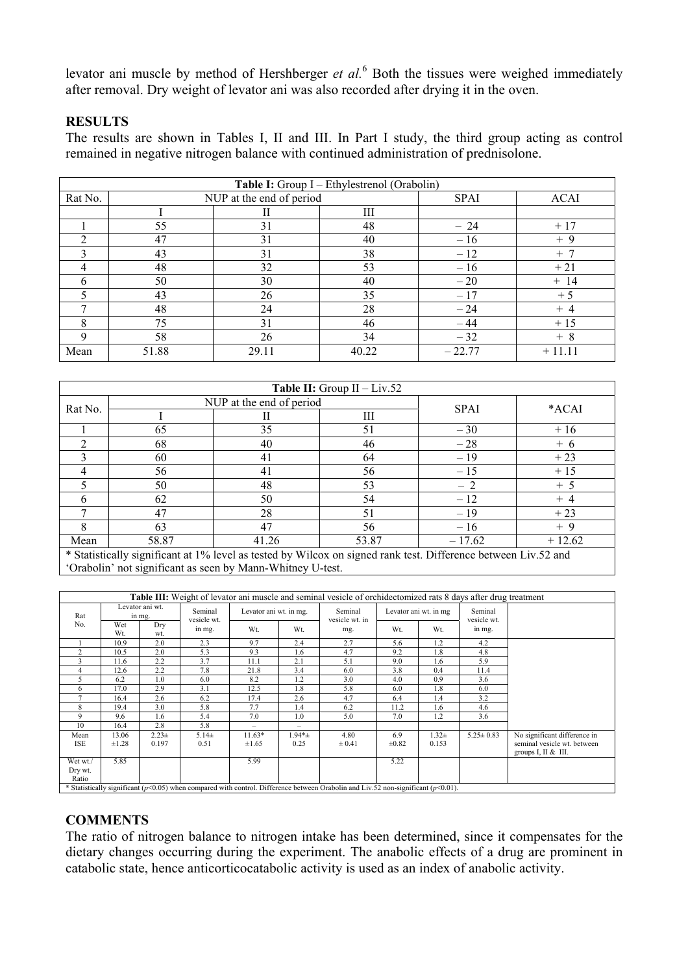levator ani muscle by method of Hershberger *et al.*<sup>6</sup> Both the tissues were weighed immediately after removal. Dry weight of levator ani was also recorded after drying it in the oven.

## **RESULTS**

The results are shown in Tables I, II and III. In Part I study, the third group acting as control remained in negative nitrogen balance with continued administration of prednisolone.

| Table I: Group I – Ethylestrenol (Orabolin) |       |                          |             |             |          |  |  |  |
|---------------------------------------------|-------|--------------------------|-------------|-------------|----------|--|--|--|
| Rat No.                                     |       | NUP at the end of period | <b>SPAI</b> | <b>ACAI</b> |          |  |  |  |
|                                             |       | Н                        | Ш           |             |          |  |  |  |
|                                             | 55    | 31                       | 48          | $-24$       | $+17$    |  |  |  |
| ↑                                           | 47    | 31                       | 40          | $-16$       | $+9$     |  |  |  |
| 3                                           | 43    | 31                       | 38          | $-12$       | $+7$     |  |  |  |
| 4                                           | 48    | 32                       | 53          | $-16$       | $+21$    |  |  |  |
| 6                                           | 50    | 30                       | 40          | $-20$       | $+ 14$   |  |  |  |
|                                             | 43    | 26                       | 35          | $-17$       | $+5$     |  |  |  |
| $\mathbf{r}$                                | 48    | 24                       | 28          | $-24$       | $+4$     |  |  |  |
| 8                                           | 75    | 31                       | 46          | $-44$       | $+15$    |  |  |  |
| 9                                           | 58    | 26                       | 34          | $-32$       | $+8$     |  |  |  |
| Mean                                        | 51.88 | 29.11                    | 40.22       | $-22.77$    | $+11.11$ |  |  |  |

| <b>Table II:</b> Group $II - Liv.52$                                                             |       |                          |             |          |          |  |  |  |
|--------------------------------------------------------------------------------------------------|-------|--------------------------|-------------|----------|----------|--|--|--|
| Rat No.                                                                                          |       | NUP at the end of period | <b>SPAI</b> | *ACAI    |          |  |  |  |
|                                                                                                  | Ш     |                          |             |          |          |  |  |  |
|                                                                                                  | 65    | 35                       | 51          | $-30$    | $+16$    |  |  |  |
|                                                                                                  | 68    | 40                       | 46          | $-28$    | $+6$     |  |  |  |
|                                                                                                  | 60    | 41                       | 64          | $-19$    | $+23$    |  |  |  |
| 4                                                                                                | 56    | 41                       | 56          | $-15$    | $+15$    |  |  |  |
|                                                                                                  | 50    | 48                       | 53          | $-2$     | $+5$     |  |  |  |
| 6                                                                                                | 62    | 50                       |             | $-12$    | $+4$     |  |  |  |
|                                                                                                  | 47    | 28                       | 51          | $-19$    | $+23$    |  |  |  |
|                                                                                                  | 63    | 47                       |             | $-16$    | $+9$     |  |  |  |
| Mean<br>$\mathbf{a}$ , and $\mathbf{a}$ , and $\mathbf{a}$ , and $\mathbf{a}$ , and $\mathbf{a}$ | 58.87 | 41.26                    |             | $-17.62$ | $+12.62$ |  |  |  |

\* Statistically significant at 1% level as tested by Wilcox on signed rank test. Difference between Liv.52 and 'Orabolin' not significant as seen by Mann-Whitney U-test.

| Table III: Weight of levator ani muscle and seminal vesicle of orchidectomized rats 8 days after drug treatment                           |                           |                  |                        |                        |                          |                           |                       |                   |                        |                                                                                     |
|-------------------------------------------------------------------------------------------------------------------------------------------|---------------------------|------------------|------------------------|------------------------|--------------------------|---------------------------|-----------------------|-------------------|------------------------|-------------------------------------------------------------------------------------|
| Rat<br>No.                                                                                                                                | Levator ani wt.<br>in mg. |                  | Seminal<br>vesicle wt. | Levator ani wt. in mg. |                          | Seminal<br>vesicle wt. in | Levator ani wt. in mg |                   | Seminal<br>vesicle wt. |                                                                                     |
|                                                                                                                                           | Wet<br>Wt.                | Dry<br>wt.       | in mg.                 | Wt.                    | Wt.                      | mg.                       | Wt.                   | Wt.               | in mg.                 |                                                                                     |
|                                                                                                                                           | 10.9                      | 2.0              | 2.3                    | 97                     | 2.4                      | 2.7                       | 5.6                   | 1.2               | 4.2                    |                                                                                     |
| 2                                                                                                                                         | 10.5                      | 2.0              | 5.3                    | 9.3                    | 1.6                      | 4.7                       | 9.2                   | 1.8               | 4.8                    |                                                                                     |
| 3                                                                                                                                         | 11.6                      | 2.2              | 3.7                    | 11.1                   | 2.1                      | 5.1                       | 9.0                   | 1.6               | 5.9                    |                                                                                     |
| 4                                                                                                                                         | 12.6                      | 2.2              | 7.8                    | 21.8                   | 3.4                      | 6.0                       | 3.8                   | 0.4               | 11.4                   |                                                                                     |
| 5                                                                                                                                         | 6.2                       | 1.0              | 6.0                    | 8.2                    | 1.2                      | 3.0                       | 4.0                   | 0.9               | 3.6                    |                                                                                     |
| 6                                                                                                                                         | 17.0                      | 2.9              | 3.1                    | 12.5                   | 1.8                      | 5.8                       | 6.0                   | 1.8               | 6.0                    |                                                                                     |
|                                                                                                                                           | 16.4                      | 2.6              | 6.2                    | 17.4                   | 2.6                      | 4.7                       | 6.4                   | 1.4               | 3.2                    |                                                                                     |
| 8                                                                                                                                         | 19.4                      | 3.0              | 5.8                    | 7.7                    | 1.4                      | 6.2                       | 11.2                  | 1.6               | 4.6                    |                                                                                     |
| 9                                                                                                                                         | 9.6                       | 1.6              | 5.4                    | 7.0                    | 1.0                      | 5.0                       | 7.0                   | 1.2               | 3.6                    |                                                                                     |
| 10                                                                                                                                        | 16.4                      | 2.8              | 5.8                    | $\qquad \qquad -$      | $\overline{\phantom{0}}$ |                           |                       |                   |                        |                                                                                     |
| Mean<br>ISE                                                                                                                               | 13.06<br>$\pm 1.28$       | $2.23+$<br>0.197 | $5.14\pm$<br>0.51      | $11.63*$<br>$\pm 1.65$ | $1.94*_{\pm}$<br>0.25    | 4.80<br>± 0.41            | 6.9<br>$\pm 0.82$     | $1.32 +$<br>0.153 | $5.25 \pm 0.83$        | No significant difference in<br>seminal vesicle wt. between<br>groups $I, II & H$ . |
| Wet wt./<br>Dry wt.<br>Ratio                                                                                                              | 5.85                      |                  |                        | 5.99                   |                          |                           | 5.22                  |                   |                        |                                                                                     |
| * Statistically significant ( $p<0.05$ ) when compared with control. Difference between Orabolin and Liv.52 non-significant ( $p<0.01$ ). |                           |                  |                        |                        |                          |                           |                       |                   |                        |                                                                                     |

## **COMMENTS**

The ratio of nitrogen balance to nitrogen intake has been determined, since it compensates for the dietary changes occurring during the experiment. The anabolic effects of a drug are prominent in catabolic state, hence anticorticocatabolic activity is used as an index of anabolic activity.